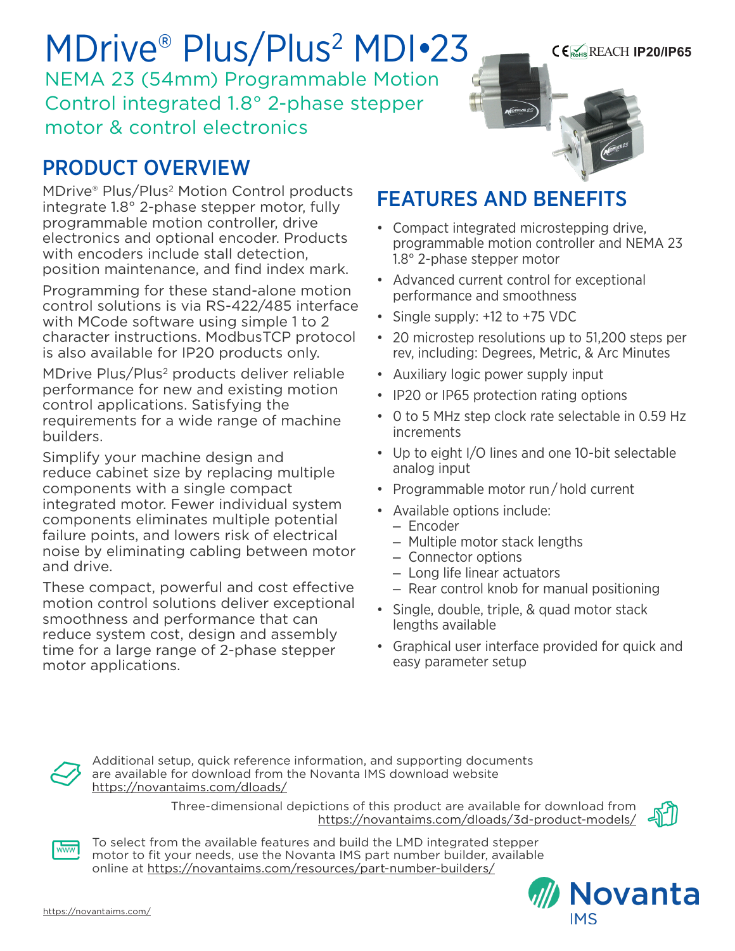MDrive® Plus/Plus<sup>2</sup> MDI•23 NEMA 23 (54mm) Programmable Motion Control integrated 1.8° 2-phase stepper motor & control electronics

# PRODUCT OVERVIEW

MDrive® Plus/Plus2 Motion Control products integrate 1.8° 2-phase stepper motor, fully programmable motion controller, drive electronics and optional encoder. Products with encoders include stall detection. position maintenance, and find index mark.

Programming for these stand-alone motion control solutions is via RS-422/485 interface with MCode software using simple 1 to 2 character instructions. ModbusTCP protocol is also available for IP20 products only.

MDrive Plus/Plus<sup>2</sup> products deliver reliable performance for new and existing motion control applications. Satisfying the requirements for a wide range of machine builders.

Simplify your machine design and reduce cabinet size by replacing multiple components with a single compact integrated motor. Fewer individual system components eliminates multiple potential failure points, and lowers risk of electrical noise by eliminating cabling between motor and drive.

These compact, powerful and cost effective motion control solutions deliver exceptional smoothness and performance that can reduce system cost, design and assembly time for a large range of 2-phase stepper motor applications.



## FEATURES AND BENEFITS

- Compact integrated microstepping drive, programmable motion controller and NEMA 23 1.8° 2-phase stepper motor
- Advanced current control for exceptional performance and smoothness
- Single supply: +12 to +75 VDC
- 20 microstep resolutions up to 51,200 steps per rev, including: Degrees, Metric, & Arc Minutes
- Auxiliary logic power supply input
- IP20 or IP65 protection rating options
- 0 to 5 MHz step clock rate selectable in 0.59 Hz increments
- Up to eight I/O lines and one 10-bit selectable analog input
- Programmable motor run / hold current
- Available options include:
	- Encoder
	- Multiple motor stack lengths
	- Connector options
	- Long life linear actuators
	- Rear control knob for manual positioning
- Single, double, triple, & quad motor stack lengths available
- Graphical user interface provided for quick and easy parameter setup



Additional setup, quick reference information, and supporting documents are available for download from the Novanta IMS download website https://novantaims.com/dloads/

> Three-dimensional depictions of this product are available for download from <https://novantaims.com/dloads/3d-product-models/>





To select from the available features and build the LMD integrated stepper motor to fit your needs, use the Novanta IMS part number builder, available online at <https://novantaims.com/resources/part-number-builders/>